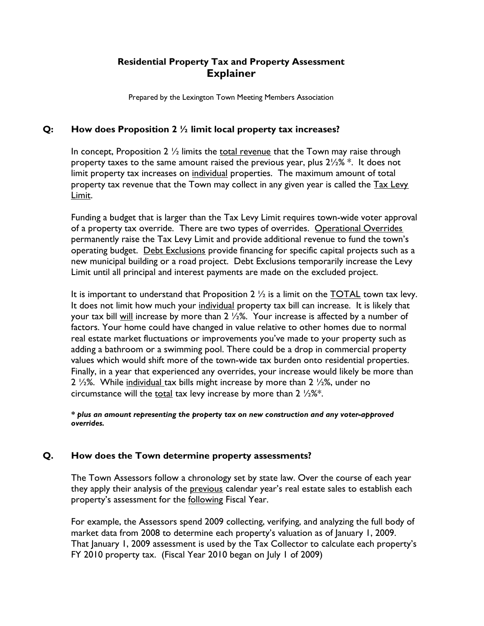# **Residential Property Tax and Property Assessment Explainer**

Prepared by the Lexington Town Meeting Members Association

### **Q: How does Proposition 2 ½ limit local property tax increases?**

In concept, Proposition  $2\frac{1}{2}$  limits the total revenue that the Town may raise through property taxes to the same amount raised the previous year, plus  $2\frac{1}{2}\%$  \*. It does not limit property tax increases on individual properties. The maximum amount of total property tax revenue that the Town may collect in any given year is called the Tax Levy Limit.

Funding a budget that is larger than the Tax Levy Limit requires town-wide voter approval of a property tax override. There are two types of overrides. Operational Overrides permanently raise the Tax Levy Limit and provide additional revenue to fund the town's operating budget. Debt Exclusions provide financing for specific capital projects such as a new municipal building or a road project. Debt Exclusions temporarily increase the Levy Limit until all principal and interest payments are made on the excluded project.

It is important to understand that Proposition 2  $\frac{1}{2}$  is a limit on the TOTAL town tax levy. It does not limit how much your individual property tax bill can increase. It is likely that your tax bill will increase by more than 2 1/2%. Your increase is affected by a number of factors. Your home could have changed in value relative to other homes due to normal real estate market fluctuations or improvements you've made to your property such as adding a bathroom or a swimming pool. There could be a drop in commercial property values which would shift more of the town-wide tax burden onto residential properties. Finally, in a year that experienced any overrides, your increase would likely be more than 2  $\frac{1}{2}$ %. While individual tax bills might increase by more than 2  $\frac{1}{2}$ %, under no circumstance will the total tax levy increase by more than  $2\frac{1}{2}\%$ .

*\* plus an amount representing the property tax on new construction and any voter-approved overrides.*

### **Q. How does the Town determine property assessments?**

The Town Assessors follow a chronology set by state law. Over the course of each year they apply their analysis of the previous calendar year's real estate sales to establish each property's assessment for the following Fiscal Year.

For example, the Assessors spend 2009 collecting, verifying, and analyzing the full body of market data from 2008 to determine each property's valuation as of January 1, 2009. That January 1, 2009 assessment is used by the Tax Collector to calculate each property's FY 2010 property tax. (Fiscal Year 2010 began on July 1 of 2009)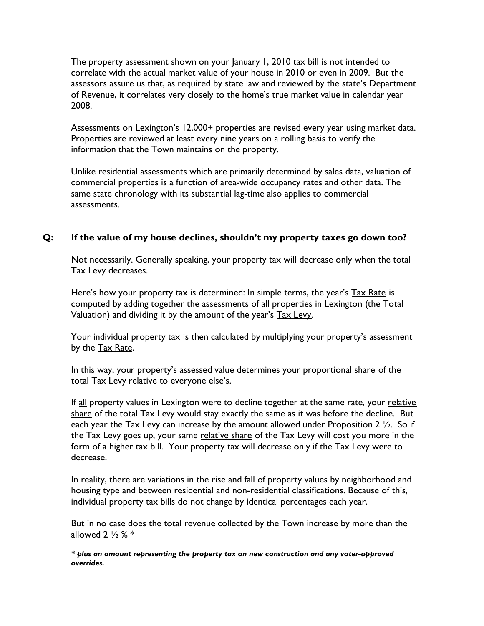The property assessment shown on your January 1, 2010 tax bill is not intended to correlate with the actual market value of your house in 2010 or even in 2009. But the assessors assure us that, as required by state law and reviewed by the state's Department of Revenue, it correlates very closely to the home's true market value in calendar year 2008.

Assessments on Lexington's 12,000+ properties are revised every year using market data. Properties are reviewed at least every nine years on a rolling basis to verify the information that the Town maintains on the property.

Unlike residential assessments which are primarily determined by sales data, valuation of commercial properties is a function of area-wide occupancy rates and other data. The same state chronology with its substantial lag-time also applies to commercial assessments.

### **Q: If the value of my house declines, shouldn't my property taxes go down too?**

Not necessarily. Generally speaking, your property tax will decrease only when the total Tax Levy decreases.

Here's how your property tax is determined: In simple terms, the year's Tax Rate is computed by adding together the assessments of all properties in Lexington (the Total Valuation) and dividing it by the amount of the year's Tax Levy.

Your individual property tax is then calculated by multiplying your property's assessment by the Tax Rate.

In this way, your property's assessed value determines your proportional share of the total Tax Levy relative to everyone else's.

If all property values in Lexington were to decline together at the same rate, your relative share of the total Tax Levy would stay exactly the same as it was before the decline. But each year the Tax Levy can increase by the amount allowed under Proposition 2  $\frac{1}{2}$ . So if the Tax Levy goes up, your same relative share of the Tax Levy will cost you more in the form of a higher tax bill. Your property tax will decrease only if the Tax Levy were to decrease.

In reality, there are variations in the rise and fall of property values by neighborhood and housing type and between residential and non-residential classifications. Because of this, individual property tax bills do not change by identical percentages each year.

But in no case does the total revenue collected by the Town increase by more than the allowed  $2\frac{1}{2}\% *$ 

*\* plus an amount representing the property tax on new construction and any voter-approved overrides.*